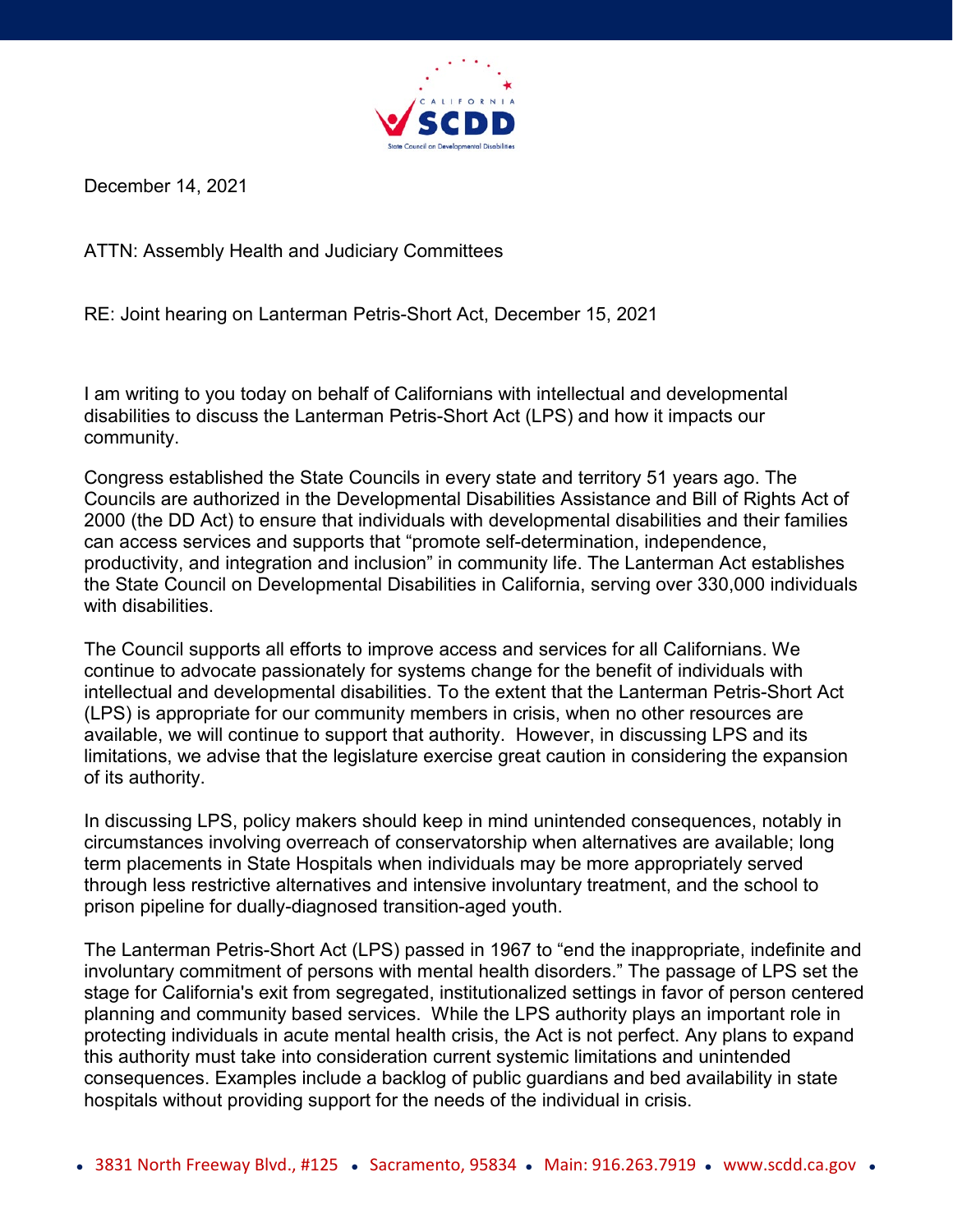

December 14, 2021

ATTN: Assembly Health and Judiciary Committees

RE: Joint hearing on Lanterman Petris-Short Act, December 15, 2021

I am writing to you today on behalf of Californians with intellectual and developmental disabilities to discuss the Lanterman Petris-Short Act (LPS) and how it impacts our community.

Congress established the State Councils in every state and territory 51 years ago. The Councils are authorized in the Developmental Disabilities Assistance and Bill of Rights Act of 2000 (the DD Act) to ensure that individuals with developmental disabilities and their families can access services and supports that "promote self-determination, independence, productivity, and integration and inclusion" in community life. The Lanterman Act establishes the State Council on Developmental Disabilities in California, serving over 330,000 individuals with disabilities.

The Council supports all efforts to improve access and services for all Californians. We continue to advocate passionately for systems change for the benefit of individuals with intellectual and developmental disabilities. To the extent that the Lanterman Petris-Short Act (LPS) is appropriate for our community members in crisis, when no other resources are available, we will continue to support that authority. However, in discussing LPS and its limitations, we advise that the legislature exercise great caution in considering the expansion of its authority.

In discussing LPS, policy makers should keep in mind unintended consequences, notably in circumstances involving overreach of conservatorship when alternatives are available; long term placements in State Hospitals when individuals may be more appropriately served through less restrictive alternatives and intensive involuntary treatment, and the school to prison pipeline for dually-diagnosed transition-aged youth.

The Lanterman Petris-Short Act (LPS) passed in 1967 to "end the inappropriate, indefinite and involuntary commitment of persons with mental health disorders." The passage of LPS set the stage for California's exit from segregated, institutionalized settings in favor of person centered planning and community based services. While the LPS authority plays an important role in protecting individuals in acute mental health crisis, the Act is not perfect. Any plans to expand this authority must take into consideration current systemic limitations and unintended consequences. Examples include a backlog of public guardians and bed availability in state hospitals without providing support for the needs of the individual in crisis.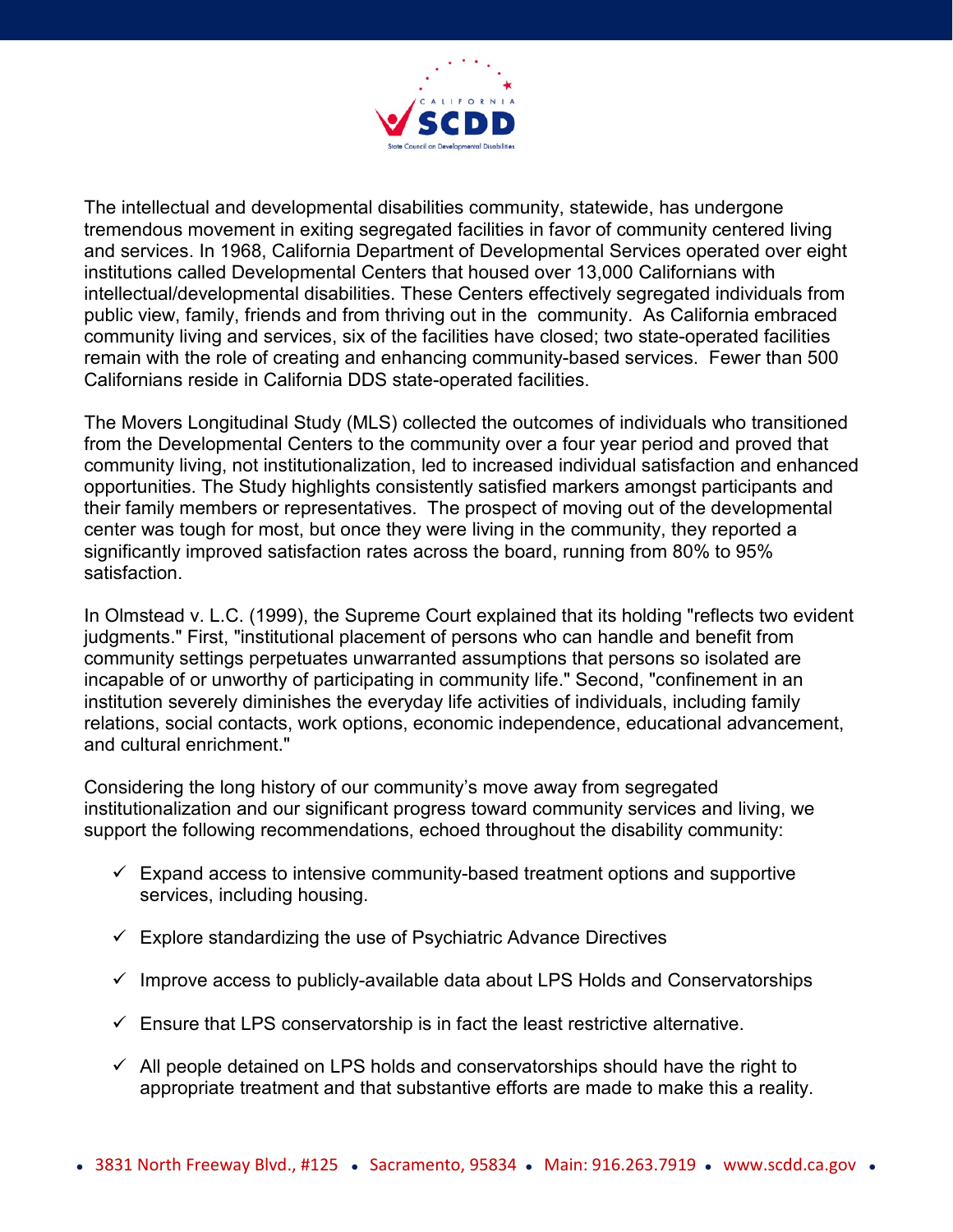

The intellectual and developmental disabilities community, statewide, has undergone tremendous movement in exiting segregated facilities in favor of community centered living and services. In 1968, California Department of Developmental Services operated over eight institutions called Developmental Centers that housed over 13,000 Californians with intellectual/developmental disabilities. These Centers effectively segregated individuals from public view, family, friends and from thriving out in the community. As California embraced community living and services, six of the facilities have closed; two state-operated facilities remain with the role of creating and enhancing community-based services. Fewer than 500 Californians reside in California DDS state-operated facilities.

The Movers Longitudinal Study (MLS) collected the outcomes of individuals who transitioned from the Developmental Centers to the community over a four year period and proved that community living, not institutionalization, led to increased individual satisfaction and enhanced opportunities. The Study highlights consistently satisfied markers amongst participants and their family members or representatives. The prospect of moving out of the developmental center was tough for most, but once they were living in the community, they reported a significantly improved satisfaction rates across the board, running from 80% to 95% satisfaction.

In Olmstead v. L.C. (1999), the Supreme Court explained that its holding "reflects two evident judgments." First, "institutional placement of persons who can handle and benefit from community settings perpetuates unwarranted assumptions that persons so isolated are incapable of or unworthy of participating in community life." Second, "confinement in an institution severely diminishes the everyday life activities of individuals, including family relations, social contacts, work options, economic independence, educational advancement, and cultural enrichment."

Considering the long history of our community's move away from segregated institutionalization and our significant progress toward community services and living, we support the following recommendations, echoed throughout the disability community:

- $\checkmark$  Expand access to intensive community-based treatment options and supportive services, including housing.
- $\checkmark$  Explore standardizing the use of Psychiatric Advance Directives
- $\checkmark$  Improve access to publicly-available data about LPS Holds and Conservatorships
- $\checkmark$  Ensure that LPS conservatorship is in fact the least restrictive alternative.
- $\checkmark$  All people detained on LPS holds and conservatorships should have the right to appropriate treatment and that substantive efforts are made to make this a reality.